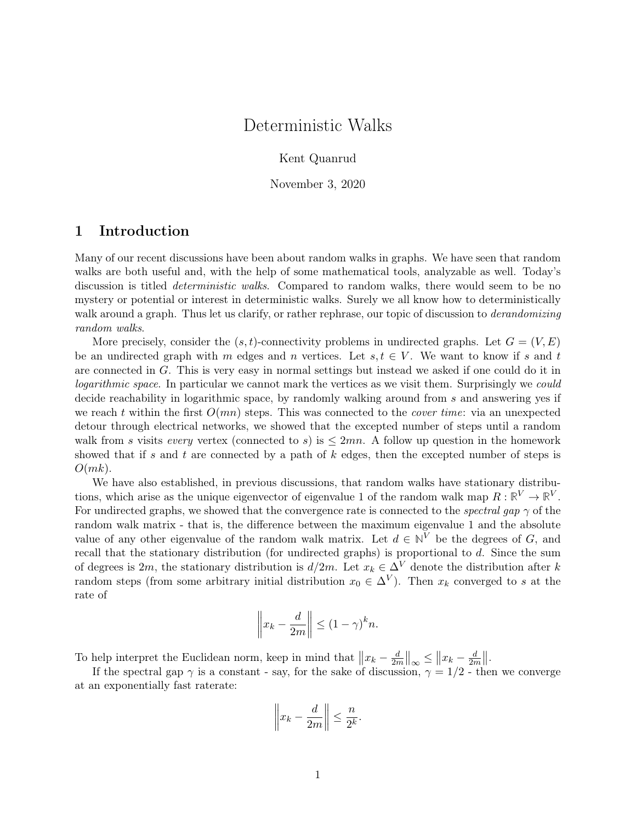# Deterministic Walks

Kent Quanrud

November 3, 2020

# 1 Introduction

Many of our recent discussions have been about random walks in graphs. We have seen that random walks are both useful and, with the help of some mathematical tools, analyzable as well. Today's discussion is titled *deterministic walks*. Compared to random walks, there would seem to be no mystery or potential or interest in deterministic walks. Surely we all know how to deterministically walk around a graph. Thus let us clarify, or rather rephrase, our topic of discussion to *derandomizing* random walks.

More precisely, consider the  $(s, t)$ -connectivity problems in undirected graphs. Let  $G = (V, E)$ be an undirected graph with m edges and n vertices. Let  $s, t \in V$ . We want to know if s and t are connected in G. This is very easy in normal settings but instead we asked if one could do it in logarithmic space. In particular we cannot mark the vertices as we visit them. Surprisingly we could decide reachability in logarithmic space, by randomly walking around from s and answering yes if we reach t within the first  $O(mn)$  steps. This was connected to the *cover time*: via an unexpected detour through electrical networks, we showed that the excepted number of steps until a random walk from s visits every vertex (connected to s) is  $\leq 2mn$ . A follow up question in the homework showed that if s and t are connected by a path of  $k$  edges, then the excepted number of steps is  $O(mk)$ .

We have also established, in previous discussions, that random walks have stationary distributions, which arise as the unique eigenvector of eigenvalue 1 of the random walk map  $R: \mathbb{R}^V \to \mathbb{R}^V$ . For undirected graphs, we showed that the convergence rate is connected to the *spectral qap*  $\gamma$  of the random walk matrix - that is, the difference between the maximum eigenvalue 1 and the absolute value of any other eigenvalue of the random walk matrix. Let  $d \in \mathbb{N}^V$  be the degrees of G, and recall that the stationary distribution (for undirected graphs) is proportional to d. Since the sum of degrees is 2m, the stationary distribution is  $d/2m$ . Let  $x_k \in \Delta^V$  denote the distribution after k random steps (from some arbitrary initial distribution  $x_0 \in \Delta^V$ ). Then  $x_k$  converged to s at the rate of

$$
\left\| x_k - \frac{d}{2m} \right\| \le (1 - \gamma)^k n.
$$

To help interpret the Euclidean norm, keep in mind that  $||x_k - \frac{d}{2n}||$  $\frac{d}{2m}$  $\|_{\infty} \leq \|x_k - \frac{d}{2n}\|$  $\frac{d}{2m}$ ||.

If the spectral gap  $\gamma$  is a constant - say, for the sake of discussion,  $\gamma = 1/2$  - then we converge at an exponentially fast raterate:

$$
\left\| x_k - \frac{d}{2m} \right\| \leq \frac{n}{2^k}.
$$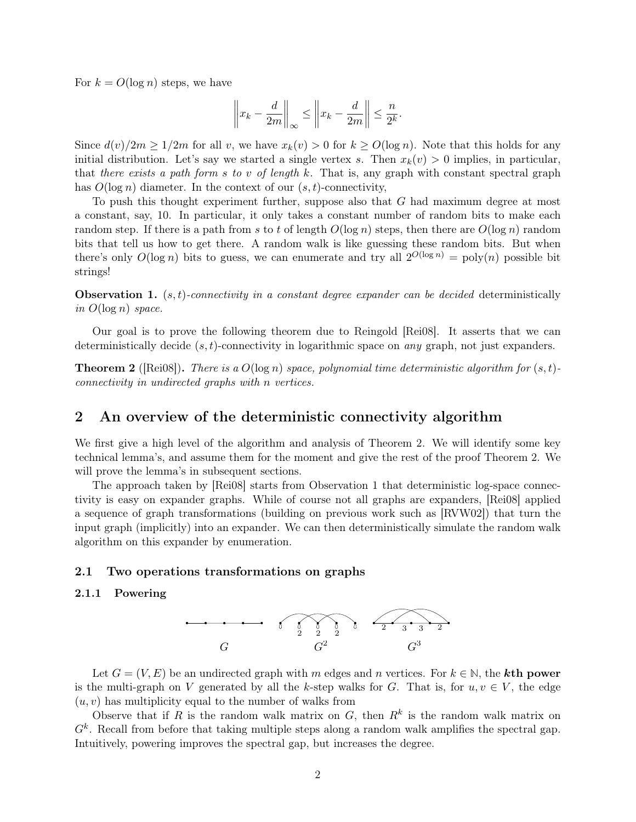For  $k = O(\log n)$  steps, we have

$$
\left\|x_k - \frac{d}{2m}\right\|_{\infty} \le \left\|x_k - \frac{d}{2m}\right\| \le \frac{n}{2^k}.
$$

Since  $d(v)/2m \geq 1/2m$  for all v, we have  $x_k(v) > 0$  for  $k \geq O(\log n)$ . Note that this holds for any initial distribution. Let's say we started a single vertex s. Then  $x_k(v) > 0$  implies, in particular, that there exists a path form s to v of length k. That is, any graph with constant spectral graph has  $O(\log n)$  diameter. In the context of our  $(s, t)$ -connectivity,

To push this thought experiment further, suppose also that G had maximum degree at most a constant, say, 10. In particular, it only takes a constant number of random bits to make each random step. If there is a path from s to t of length  $O(\log n)$  steps, then there are  $O(\log n)$  random bits that tell us how to get there. A random walk is like guessing these random bits. But when there's only  $O(\log n)$  bits to guess, we can enumerate and try all  $2^{O(\log n)} = \text{poly}(n)$  possible bit strings!

<span id="page-1-1"></span>**Observation 1.** (s, t)-connectivity in a constant degree expander can be decided deterministically in  $O(\log n)$  space.

Our goal is to prove the following theorem due to Reingold [\[Rei08\]](#page-7-0). It asserts that we can deterministically decide  $(s, t)$ -connectivity in logarithmic space on *any* graph, not just expanders.

<span id="page-1-0"></span>**Theorem 2** ([\[Rei08\]](#page-7-0)). There is a  $O(\log n)$  space, polynomial time deterministic algorithm for  $(s, t)$ connectivity in undirected graphs with n vertices.

# 2 An overview of the deterministic connectivity algorithm

We first give a high level of the algorithm and analysis of [Theorem 2.](#page-1-0) We will identify some key technical lemma's, and assume them for the moment and give the rest of the proof [Theorem 2.](#page-1-0) We will prove the lemma's in subsequent sections.

The approach taken by [\[Rei08\]](#page-7-0) starts from [Observation 1](#page-1-1) that deterministic log-space connectivity is easy on expander graphs. While of course not all graphs are expanders, [\[Rei08\]](#page-7-0) applied a sequence of graph transformations (building on previous work such as [\[RVW02\]](#page-7-1)) that turn the input graph (implicitly) into an expander. We can then deterministically simulate the random walk algorithm on this expander by enumeration.

### 2.1 Two operations transformations on graphs

### 2.1.1 Powering



Let  $G = (V, E)$  be an undirected graph with m edges and n vertices. For  $k \in \mathbb{N}$ , the **kth power** is the multi-graph on V generated by all the k-step walks for G. That is, for  $u, v \in V$ , the edge  $(u, v)$  has multiplicity equal to the number of walks from

Observe that if R is the random walk matrix on  $G$ , then  $R^k$  is the random walk matrix on  $G<sup>k</sup>$ . Recall from before that taking multiple steps along a random walk amplifies the spectral gap. Intuitively, powering improves the spectral gap, but increases the degree.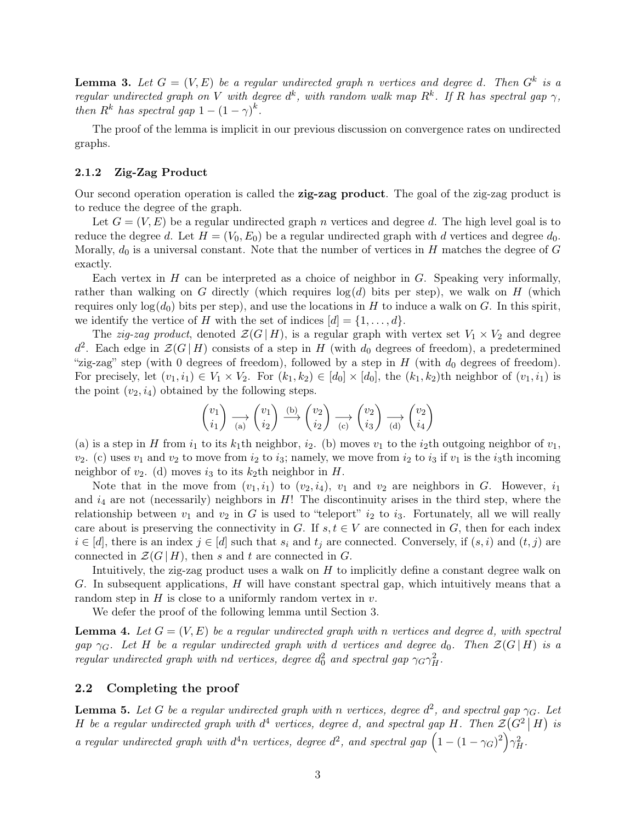**Lemma 3.** Let  $G = (V, E)$  be a regular undirected graph n vertices and degree d. Then  $G^k$  is a regular undirected graph on V with degree  $d^k$ , with random walk map  $R^k$ . If R has spectral gap  $\gamma$ , then  $R^k$  has spectral gap  $1 - (1 - \gamma)^k$ .

The proof of the lemma is implicit in our previous discussion on convergence rates on undirected graphs.

#### 2.1.2 Zig-Zag Product

Our second operation operation is called the zig-zag product. The goal of the zig-zag product is to reduce the degree of the graph.

Let  $G = (V, E)$  be a regular undirected graph n vertices and degree d. The high level goal is to reduce the degree d. Let  $H = (V_0, E_0)$  be a regular undirected graph with d vertices and degree  $d_0$ . Morally,  $d_0$  is a universal constant. Note that the number of vertices in H matches the degree of G exactly.

Each vertex in  $H$  can be interpreted as a choice of neighbor in  $G$ . Speaking very informally, rather than walking on G directly (which requires  $log(d)$  bits per step), we walk on H (which requires only  $log(d_0)$  bits per step), and use the locations in H to induce a walk on G. In this spirit, we identify the vertice of H with the set of indices  $[d] = \{1, \ldots, d\}.$ 

The *zig-zag product*, denoted  $\mathcal{Z}(G | H)$ , is a regular graph with vertex set  $V_1 \times V_2$  and degree  $d^2$ . Each edge in  $\mathcal{Z}(G | H)$  consists of a step in H (with  $d_0$  degrees of freedom), a predetermined "zig-zag" step (with 0 degrees of freedom), followed by a step in  $H$  (with  $d_0$  degrees of freedom). For precisely, let  $(v_1, i_1) \in V_1 \times V_2$ . For  $(k_1, k_2) \in [d_0] \times [d_0]$ , the  $(k_1, k_2)$ th neighbor of  $(v_1, i_1)$  is the point  $(v_2, i_4)$  obtained by the following steps.

$$
\begin{pmatrix} v_1 \\ i_1 \end{pmatrix} \xrightarrow[\text{(a)}]{} \begin{pmatrix} v_1 \\ i_2 \end{pmatrix} \xrightarrow{\text{(b)}} \begin{pmatrix} v_2 \\ i_2 \end{pmatrix} \xrightarrow[\text{(c)}]{} \begin{pmatrix} v_2 \\ i_3 \end{pmatrix} \xrightarrow[\text{(d)}]{} \begin{pmatrix} v_2 \\ i_4 \end{pmatrix}
$$

(a) is a step in H from  $i_1$  to its  $k_1$ th neighbor,  $i_2$ . (b) moves  $v_1$  to the  $i_2$ th outgoing neighbor of  $v_1$ ,  $v_2$ . (c) uses  $v_1$  and  $v_2$  to move from  $i_2$  to  $i_3$ ; namely, we move from  $i_2$  to  $i_3$  if  $v_1$  is the  $i_3$ th incoming neighbor of  $v_2$ . (d) moves  $i_3$  to its  $k_2$ th neighbor in H.

Note that in the move from  $(v_1, i_1)$  to  $(v_2, i_4)$ ,  $v_1$  and  $v_2$  are neighbors in G. However,  $i_1$ and  $i_4$  are not (necessarily) neighbors in H! The discontinuity arises in the third step, where the relationship between  $v_1$  and  $v_2$  in G is used to "teleport"  $i_2$  to  $i_3$ . Fortunately, all we will really care about is preserving the connectivity in G. If  $s, t \in V$  are connected in G, then for each index  $i \in [d]$ , there is an index  $j \in [d]$  such that  $s_i$  and  $t_j$  are connected. Conversely, if  $(s, i)$  and  $(t, j)$  are connected in  $\mathcal{Z}(G | H)$ , then s and t are connected in G.

Intuitively, the zig-zag product uses a walk on  $H$  to implicitly define a constant degree walk on G. In subsequent applications,  $H$  will have constant spectral gap, which intuitively means that a random step in  $H$  is close to a uniformly random vertex in  $v$ .

We defer the proof of the following lemma until [Section 3.](#page-3-0)

<span id="page-2-1"></span>**Lemma 4.** Let  $G = (V, E)$  be a regular undirected graph with n vertices and degree d, with spectral gap  $\gamma_G$ . Let H be a regular undirected graph with d vertices and degree  $d_0$ . Then  $\mathcal{Z}(G | H)$  is a regular undirected graph with nd vertices, degree  $d_0^2$  and spectral gap  $\gamma_G \gamma_H^2$ .

### 2.2 Completing the proof

<span id="page-2-0"></span>**Lemma 5.** Let G be a regular undirected graph with n vertices, degree  $d^2$ , and spectral gap  $\gamma_G$ . Let H be a regular undirected graph with  $d^4$  vertices, degree d, and spectral gap H. Then  $\mathcal{Z}(G^2 | H)$  is a regular undirected graph with  $d^4n$  vertices, degree  $d^2$ , and spectral gap  $(1 - (1 - \gamma_G)^2)\gamma_H^2$ .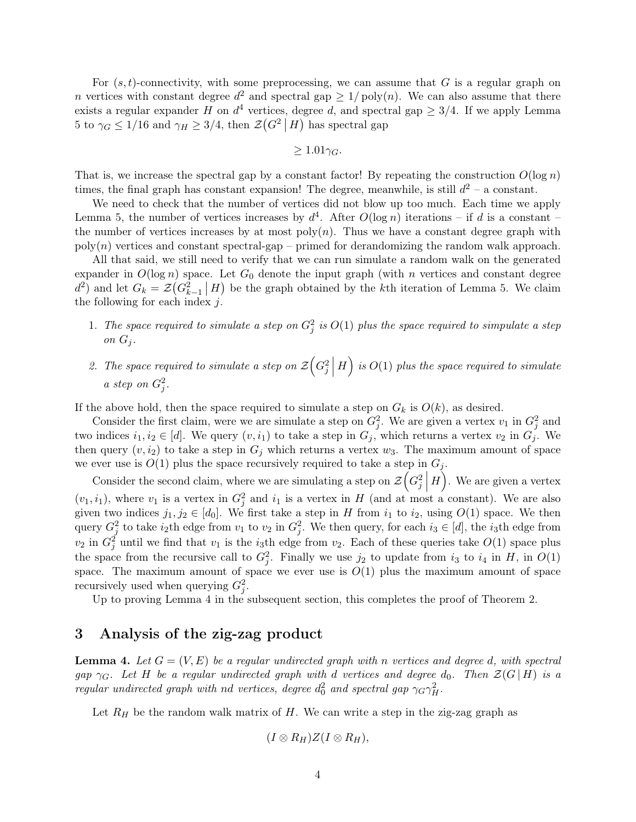For  $(s, t)$ -connectivity, with some preprocessing, we can assume that G is a regular graph on n vertices with constant degree  $d^2$  and spectral gap  $\geq 1/poly(n)$ . We can also assume that there exists a regular expander H on  $d^4$  vertices, degree d, and spectral gap  $\geq 3/4$ . If we apply [Lemma](#page-2-0) [5](#page-2-0) to  $\gamma_G \leq 1/16$  and  $\gamma_H \geq 3/4$ , then  $\mathcal{Z}(G^2 | H)$  has spectral gap

$$
\geq 1.01\gamma_G.
$$

That is, we increase the spectral gap by a constant factor! By repeating the construction  $O(\log n)$ times, the final graph has constant expansion! The degree, meanwhile, is still  $d^2$  – a constant.

We need to check that the number of vertices did not blow up too much. Each time we apply [Lemma 5,](#page-2-0) the number of vertices increases by  $d^4$ . After  $O(\log n)$  iterations – if d is a constant – the number of vertices increases by at most  $poly(n)$ . Thus we have a constant degree graph with  $\text{poly}(n)$  vertices and constant spectral-gap – primed for derandomizing the random walk approach.

All that said, we still need to verify that we can run simulate a random walk on the generated expander in  $O(\log n)$  space. Let  $G_0$  denote the input graph (with n vertices and constant degree  $d^2$  and let  $G_k = \mathcal{Z}(G_{k-1}^2 \mid H)$  be the graph obtained by the kth iteration of [Lemma 5.](#page-2-0) We claim the following for each index  $j$ .

- 1. The space required to simulate a step on  $G_j^2$  is  $O(1)$  plus the space required to simpulate a step on  $G_i$ .
- 2. The space required to simulate a step on  $\mathcal{Z}\left(G_j^2\right)$  $H$  is  $O(1)$  plus the space required to simulate a step on  $G_j^2$ .

If the above hold, then the space required to simulate a step on  $G_k$  is  $O(k)$ , as desired.

Consider the first claim, were we are simulate a step on  $G_j^2$ . We are given a vertex  $v_1$  in  $G_j^2$  and two indices  $i_1, i_2 \in [d]$ . We query  $(v, i_1)$  to take a step in  $G_j$ , which returns a vertex  $v_2$  in  $G_j$ . We then query  $(v, i_2)$  to take a step in  $G_j$  which returns a vertex  $w_3$ . The maximum amount of space we ever use is  $O(1)$  plus the space recursively required to take a step in  $G_i$ .

Consider the second claim, where we are simulating a step on  $\mathcal{Z}\left(G_j^2\right)$  $H$ ). We are given a vertex  $(v_1, i_1)$ , where  $v_1$  is a vertex in  $G_j^2$  and  $i_1$  is a vertex in H (and at most a constant). We are also given two indices  $j_1, j_2 \in [d_0]$ . We first take a step in H from  $i_1$  to  $i_2$ , using  $O(1)$  space. We then query  $G_j^2$  to take  $i_2$ th edge from  $v_1$  to  $v_2$  in  $G_j^2$ . We then query, for each  $i_3 \in [d]$ , the  $i_3$ th edge from  $v_2$  in  $G_j^2$  until we find that  $v_1$  is the *i*<sub>3</sub>th edge from  $v_2$ . Each of these queries take  $O(1)$  space plus the space from the recursive call to  $G_j^2$ . Finally we use  $j_2$  to update from  $i_3$  to  $i_4$  in H, in  $O(1)$ space. The maximum amount of space we ever use is  $O(1)$  plus the maximum amount of space recursively used when querying  $G_j^2$ .

Up to proving [Lemma 4](#page-2-1) in the subsequent section, this completes the proof of [Theorem 2.](#page-1-0)

## <span id="page-3-0"></span>3 Analysis of the zig-zag product

**Lemma 4.** Let  $G = (V, E)$  be a regular undirected graph with n vertices and degree d, with spectral gap  $\gamma_G$ . Let H be a regular undirected graph with d vertices and degree  $d_0$ . Then  $\mathcal{Z}(G | H)$  is a regular undirected graph with nd vertices, degree  $d_0^2$  and spectral gap  $\gamma_G \gamma_H^2$ .

Let  $R_H$  be the random walk matrix of H. We can write a step in the zig-zag graph as

$$
(I\otimes R_H)Z(I\otimes R_H),
$$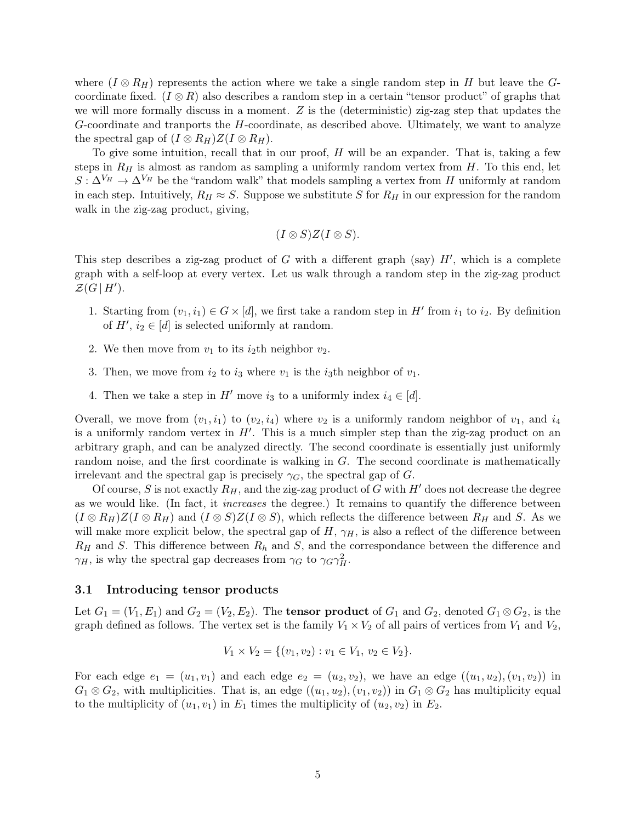where  $(I \otimes R_H)$  represents the action where we take a single random step in H but leave the Gcoordinate fixed. ( $I \otimes R$ ) also describes a random step in a certain "tensor product" of graphs that we will more formally discuss in a moment.  $Z$  is the (deterministic) zig-zag step that updates the  $G$ -coordinate and tranports the  $H$ -coordinate, as described above. Ultimately, we want to analyze the spectral gap of  $(I \otimes R_H)Z(I \otimes R_H)$ .

To give some intuition, recall that in our proof,  $H$  will be an expander. That is, taking a few steps in  $R_H$  is almost as random as sampling a uniformly random vertex from H. To this end, let  $S: \Delta^{V_H} \to \Delta^{V_H}$  be the "random walk" that models sampling a vertex from H uniformly at random in each step. Intuitively,  $R_H \approx S$ . Suppose we substitute S for  $R_H$  in our expression for the random walk in the zig-zag product, giving,

$$
(I\otimes S)Z(I\otimes S).
$$

This step describes a zig-zag product of  $G$  with a different graph (say)  $H'$ , which is a complete graph with a self-loop at every vertex. Let us walk through a random step in the zig-zag product  $\mathcal{Z}(G \mid H')$ .

- 1. Starting from  $(v_1, i_1) \in G \times [d]$ , we first take a random step in H' from  $i_1$  to  $i_2$ . By definition of  $H'$ ,  $i_2 \in [d]$  is selected uniformly at random.
- 2. We then move from  $v_1$  to its *i*<sub>2</sub>th neighbor  $v_2$ .
- 3. Then, we move from  $i_2$  to  $i_3$  where  $v_1$  is the  $i_3$ th neighbor of  $v_1$ .
- 4. Then we take a step in H' move  $i_3$  to a uniformly index  $i_4 \in [d]$ .

Overall, we move from  $(v_1, i_1)$  to  $(v_2, i_4)$  where  $v_2$  is a uniformly random neighbor of  $v_1$ , and  $i_4$ is a uniformly random vertex in  $H'$ . This is a much simpler step than the zig-zag product on an arbitrary graph, and can be analyzed directly. The second coordinate is essentially just uniformly random noise, and the first coordinate is walking in  $G$ . The second coordinate is mathematically irrelevant and the spectral gap is precisely  $\gamma_G$ , the spectral gap of G.

Of course, S is not exactly  $R_H$ , and the zig-zag product of G with H' does not decrease the degree as we would like. (In fact, it increases the degree.) It remains to quantify the difference between  $(I \otimes R_H)Z(I \otimes R_H)$  and  $(I \otimes S)Z(I \otimes S)$ , which reflects the difference between  $R_H$  and S. As we will make more explicit below, the spectral gap of  $H$ ,  $\gamma_H$ , is also a reflect of the difference between  $R_H$  and S. This difference between  $R_h$  and S, and the correspondance between the difference and  $\gamma_H$ , is why the spectral gap decreases from  $\gamma_G$  to  $\gamma_G \gamma_H^2$ .

### 3.1 Introducing tensor products

Let  $G_1 = (V_1, E_1)$  and  $G_2 = (V_2, E_2)$ . The **tensor product** of  $G_1$  and  $G_2$ , denoted  $G_1 \otimes G_2$ , is the graph defined as follows. The vertex set is the family  $V_1 \times V_2$  of all pairs of vertices from  $V_1$  and  $V_2$ ,

$$
V_1 \times V_2 = \{ (v_1, v_2) : v_1 \in V_1, v_2 \in V_2 \}.
$$

For each edge  $e_1 = (u_1, v_1)$  and each edge  $e_2 = (u_2, v_2)$ , we have an edge  $((u_1, u_2), (v_1, v_2))$  in  $G_1 \otimes G_2$ , with multiplicities. That is, an edge  $((u_1, u_2), (v_1, v_2))$  in  $G_1 \otimes G_2$  has multiplicity equal to the multiplicity of  $(u_1, v_1)$  in  $E_1$  times the multiplicity of  $(u_2, v_2)$  in  $E_2$ .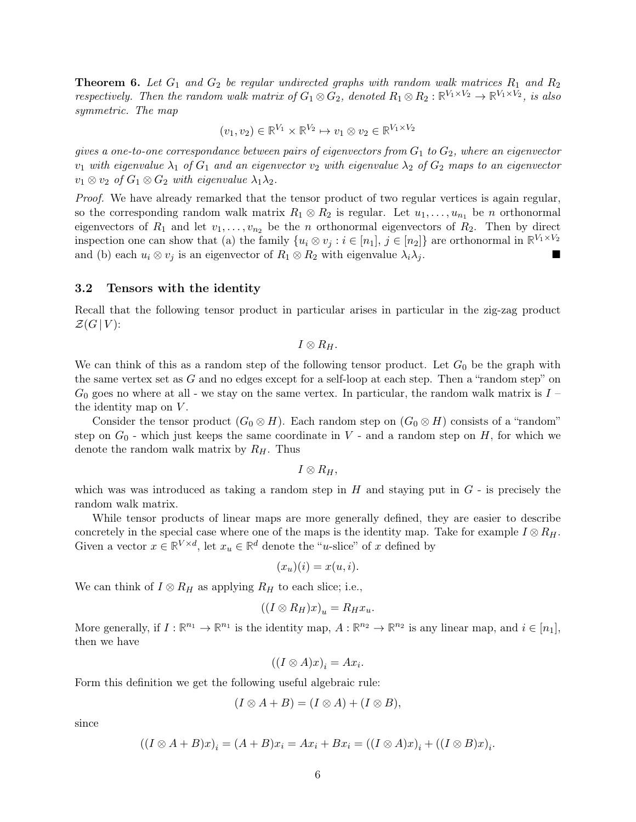**Theorem 6.** Let  $G_1$  and  $G_2$  be regular undirected graphs with random walk matrices  $R_1$  and  $R_2$ respectively. Then the random walk matrix of  $G_1 \otimes G_2$ , denoted  $R_1 \otimes R_2 : \mathbb{R}^{V_1 \times V_2} \to \mathbb{R}^{V_1 \times V_2}$ , is also symmetric. The map

$$
(v_1, v_2) \in \mathbb{R}^{V_1} \times \mathbb{R}^{V_2} \mapsto v_1 \otimes v_2 \in \mathbb{R}^{V_1 \times V_2}
$$

gives a one-to-one correspondance between pairs of eigenvectors from  $G_1$  to  $G_2$ , where an eigenvector  $v_1$  with eigenvalue  $\lambda_1$  of  $G_1$  and an eigenvector  $v_2$  with eigenvalue  $\lambda_2$  of  $G_2$  maps to an eigenvector  $v_1 \otimes v_2$  of  $G_1 \otimes G_2$  with eigenvalue  $\lambda_1 \lambda_2$ .

Proof. We have already remarked that the tensor product of two regular vertices is again regular, so the corresponding random walk matrix  $R_1 \otimes R_2$  is regular. Let  $u_1, \ldots, u_{n_1}$  be n orthonormal eigenvectors of  $R_1$  and let  $v_1, \ldots, v_{n_2}$  be the n orthonormal eigenvectors of  $R_2$ . Then by direct inspection one can show that (a) the family  $\{u_i \otimes v_j : i \in [n_1], j \in [n_2]\}$  are orthonormal in  $\mathbb{R}^{V_1 \times V_2}$ and (b) each  $u_i \otimes v_j$  is an eigenvector of  $R_1 \otimes R_2$  with eigenvalue  $\lambda_i \lambda_j$ .

#### 3.2 Tensors with the identity

Recall that the following tensor product in particular arises in particular in the zig-zag product  $\mathcal{Z}(G | V)$ :

 $I \otimes R_H$ .

We can think of this as a random step of the following tensor product. Let  $G_0$  be the graph with the same vertex set as G and no edges except for a self-loop at each step. Then a "random step" on  $G_0$  goes no where at all - we stay on the same vertex. In particular, the random walk matrix is  $I$  – the identity map on  $V$ .

Consider the tensor product  $(G_0 \otimes H)$ . Each random step on  $(G_0 \otimes H)$  consists of a "random" step on  $G_0$  - which just keeps the same coordinate in V - and a random step on H, for which we denote the random walk matrix by  $R_H$ . Thus

 $I \otimes R_H$ .

which was was introduced as taking a random step in  $H$  and staying put in  $G$  - is precisely the random walk matrix.

While tensor products of linear maps are more generally defined, they are easier to describe concretely in the special case where one of the maps is the identity map. Take for example  $I \otimes R_H$ . Given a vector  $x \in \mathbb{R}^{V \times d}$ , let  $x_u \in \mathbb{R}^d$  denote the "u-slice" of x defined by

$$
(x_u)(i) = x(u,i).
$$

We can think of  $I \otimes R_H$  as applying  $R_H$  to each slice; i.e.,

$$
((I \otimes R_H)x)_u = R_H x_u.
$$

More generally, if  $I: \mathbb{R}^{n_1} \to \mathbb{R}^{n_1}$  is the identity map,  $A: \mathbb{R}^{n_2} \to \mathbb{R}^{n_2}$  is any linear map, and  $i \in [n_1]$ , then we have

$$
((I \otimes A)x)_i = Ax_i.
$$

Form this definition we get the following useful algebraic rule:

$$
(I \otimes A + B) = (I \otimes A) + (I \otimes B),
$$

since

$$
((I \otimes A + B)x)_i = (A + B)x_i = Ax_i + Bx_i = ((I \otimes A)x)_i + ((I \otimes B)x)_i.
$$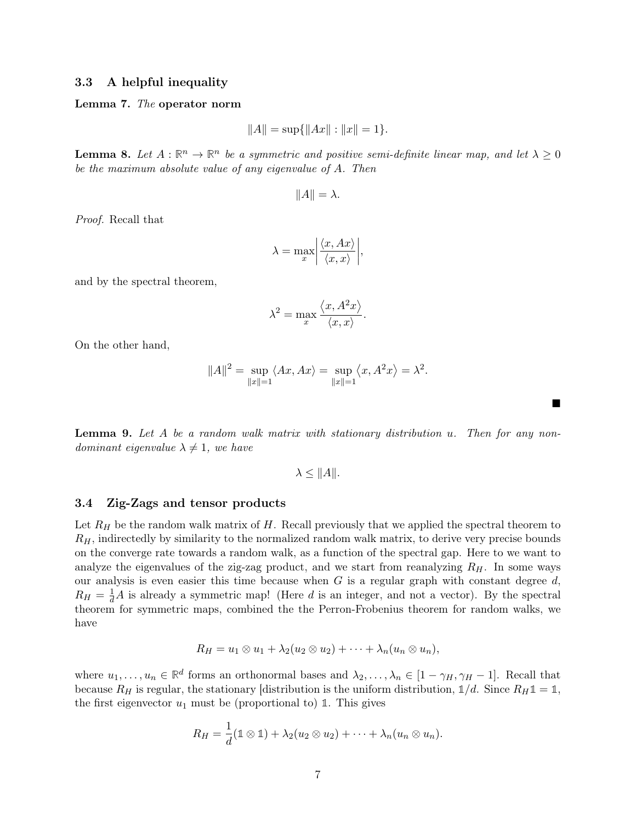### 3.3 A helpful inequality

#### Lemma 7. The operator norm

$$
||A|| = \sup\{||Ax|| : ||x|| = 1\}.
$$

**Lemma 8.** Let  $A : \mathbb{R}^n \to \mathbb{R}^n$  be a symmetric and positive semi-definite linear map, and let  $\lambda \geq 0$ be the maximum absolute value of any eigenvalue of A. Then

$$
||A|| = \lambda.
$$

Proof. Recall that

$$
\lambda = \max_{x} \left| \frac{\langle x, Ax \rangle}{\langle x, x \rangle} \right|,
$$

and by the spectral theorem,

$$
\lambda^{2} = \max_{x} \frac{\langle x, A^{2}x \rangle}{\langle x, x \rangle}.
$$

On the other hand,

$$
||A||2 = \sup_{||x||=1} \langle Ax, Ax \rangle = \sup_{||x||=1} \langle x, A2 x \rangle = \lambda2.
$$

 $\blacksquare$ 

Lemma 9. Let A be a random walk matrix with stationary distribution u. Then for any nondominant eigenvalue  $\lambda \neq 1$ , we have

$$
\lambda \leq ||A||.
$$

#### 3.4 Zig-Zags and tensor products

Let  $R_H$  be the random walk matrix of H. Recall previously that we applied the spectral theorem to  $R<sub>H</sub>$ , indirectedly by similarity to the normalized random walk matrix, to derive very precise bounds on the converge rate towards a random walk, as a function of the spectral gap. Here to we want to analyze the eigenvalues of the zig-zag product, and we start from reanalyzing  $R_H$ . In some ways our analysis is even easier this time because when  $G$  is a regular graph with constant degree  $d$ ,  $R_H = \frac{1}{d}A$  is already a symmetric map! (Here d is an integer, and not a vector). By the spectral theorem for symmetric maps, combined the the Perron-Frobenius theorem for random walks, we have

$$
R_H = u_1 \otimes u_1 + \lambda_2(u_2 \otimes u_2) + \cdots + \lambda_n(u_n \otimes u_n),
$$

where  $u_1, \ldots, u_n \in \mathbb{R}^d$  forms an orthonormal bases and  $\lambda_2, \ldots, \lambda_n \in [1 - \gamma_H, \gamma_H - 1]$ . Recall that because  $R_H$  is regular, the stationary [distribution is the uniform distribution,  $\mathbb{1}/d$ . Since  $R_H \mathbb{1} = \mathbb{1}$ , the first eigenvector  $u_1$  must be (proportional to) 1. This gives

$$
R_H = \frac{1}{d}(\mathbb{1} \otimes \mathbb{1}) + \lambda_2(u_2 \otimes u_2) + \cdots + \lambda_n(u_n \otimes u_n).
$$